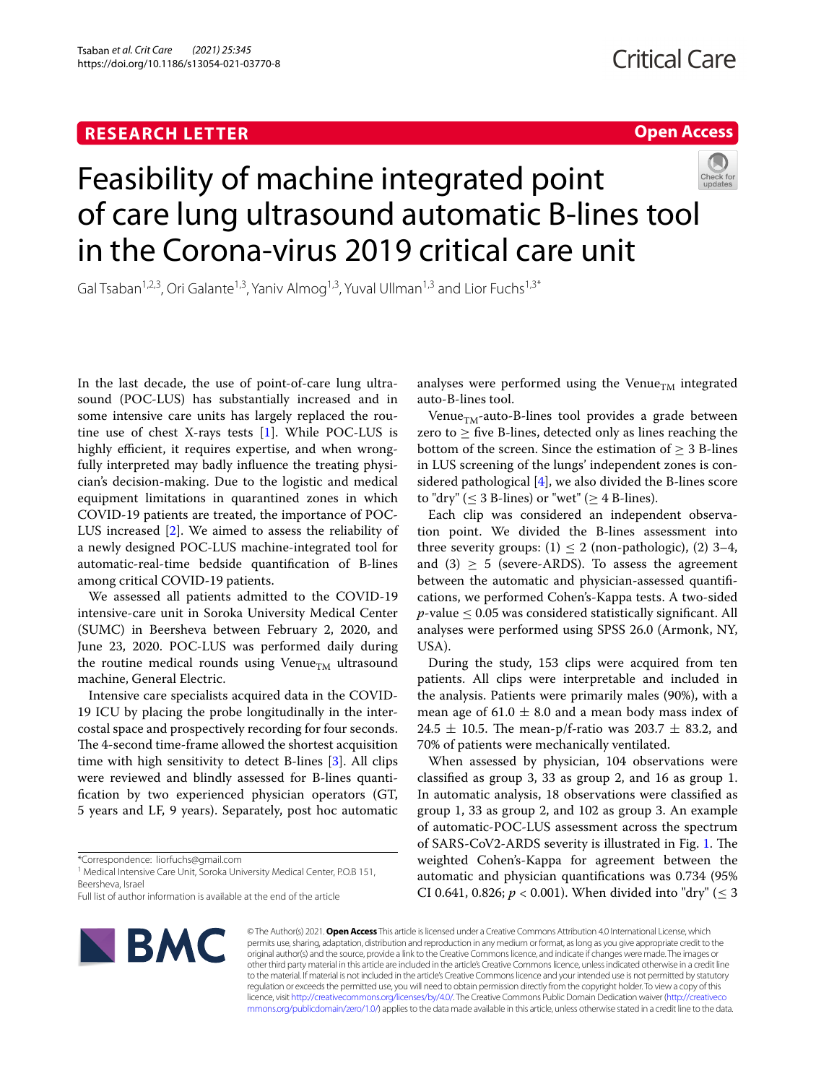## **RESEARCH LETTER**

## **Open Access**



# Feasibility of machine integrated point of care lung ultrasound automatic B-lines tool in the Corona-virus 2019 critical care unit

Gal Tsaban<sup>1,2,3</sup>, Ori Galante<sup>1,3</sup>, Yaniv Almog<sup>1,3</sup>, Yuval Ullman<sup>1,3</sup> and Lior Fuchs<sup>1,3\*</sup>

In the last decade, the use of point-of-care lung ultrasound (POC-LUS) has substantially increased and in some intensive care units has largely replaced the routine use of chest X-rays tests [[1\]](#page-2-0). While POC-LUS is highly efficient, it requires expertise, and when wrongfully interpreted may badly infuence the treating physician's decision-making. Due to the logistic and medical equipment limitations in quarantined zones in which COVID-19 patients are treated, the importance of POC-LUS increased [[2\]](#page-2-1). We aimed to assess the reliability of a newly designed POC-LUS machine-integrated tool for automatic-real-time bedside quantifcation of B-lines among critical COVID-19 patients.

We assessed all patients admitted to the COVID-19 intensive-care unit in Soroka University Medical Center (SUMC) in Beersheva between February 2, 2020, and June 23, 2020. POC-LUS was performed daily during the routine medical rounds using Venue<sub>TM</sub> ultrasound machine, General Electric.

Intensive care specialists acquired data in the COVID-19 ICU by placing the probe longitudinally in the intercostal space and prospectively recording for four seconds. The 4-second time-frame allowed the shortest acquisition time with high sensitivity to detect B-lines [\[3](#page-2-2)]. All clips were reviewed and blindly assessed for B-lines quantifcation by two experienced physician operators (GT, 5 years and LF, 9 years). Separately, post hoc automatic

Full list of author information is available at the end of the article



analyses were performed using the Venue $_{TM}$  integrated auto-B-lines tool.

Venue<sub>TM</sub>-auto-B-lines tool provides a grade between zero to  $\geq$  five B-lines, detected only as lines reaching the bottom of the screen. Since the estimation of  $\geq 3$  B-lines in LUS screening of the lungs' independent zones is considered pathological  $[4]$  $[4]$ , we also divided the B-lines score to "dry" ( $\leq$  3 B-lines) or "wet" ( $\geq$  4 B-lines).

Each clip was considered an independent observation point. We divided the B-lines assessment into three severity groups:  $(1) \le 2$  (non-pathologic),  $(2)$  3–4, and (3)  $\geq$  5 (severe-ARDS). To assess the agreement between the automatic and physician-assessed quantifcations, we performed Cohen's-Kappa tests. A two-sided  $p$ -value  $\leq$  0.05 was considered statistically significant. All analyses were performed using SPSS 26.0 (Armonk, NY, USA).

During the study, 153 clips were acquired from ten patients. All clips were interpretable and included in the analysis. Patients were primarily males (90%), with a mean age of  $61.0 \pm 8.0$  and a mean body mass index of 24.5  $\pm$  10.5. The mean-p/f-ratio was 203.7  $\pm$  83.2, and 70% of patients were mechanically ventilated.

When assessed by physician, 104 observations were classifed as group 3, 33 as group 2, and 16 as group 1. In automatic analysis, 18 observations were classifed as group 1, 33 as group 2, and 102 as group 3. An example of automatic-POC-LUS assessment across the spectrum of SARS-CoV2-ARDS severity is illustrated in Fig. [1](#page-1-0). The weighted Cohen's-Kappa for agreement between the automatic and physician quantifcations was 0.734 (95% CI 0.641, 0.826;  $p < 0.001$ ). When divided into "dry" ( $\leq 3$ 

© The Author(s) 2021. **Open Access** This article is licensed under a Creative Commons Attribution 4.0 International License, which permits use, sharing, adaptation, distribution and reproduction in any medium or format, as long as you give appropriate credit to the original author(s) and the source, provide a link to the Creative Commons licence, and indicate if changes were made. The images or other third party material in this article are included in the article's Creative Commons licence, unless indicated otherwise in a credit line to the material. If material is not included in the article's Creative Commons licence and your intended use is not permitted by statutory regulation or exceeds the permitted use, you will need to obtain permission directly from the copyright holder. To view a copy of this licence, visit [http://creativecommons.org/licenses/by/4.0/.](http://creativecommons.org/licenses/by/4.0/) The Creative Commons Public Domain Dedication waiver ([http://creativeco](http://creativecommons.org/publicdomain/zero/1.0/) [mmons.org/publicdomain/zero/1.0/](http://creativecommons.org/publicdomain/zero/1.0/)) applies to the data made available in this article, unless otherwise stated in a credit line to the data.

<sup>\*</sup>Correspondence: liorfuchs@gmail.com

<sup>&</sup>lt;sup>1</sup> Medical Intensive Care Unit, Soroka University Medical Center, P.O.B 151, Beersheva, Israel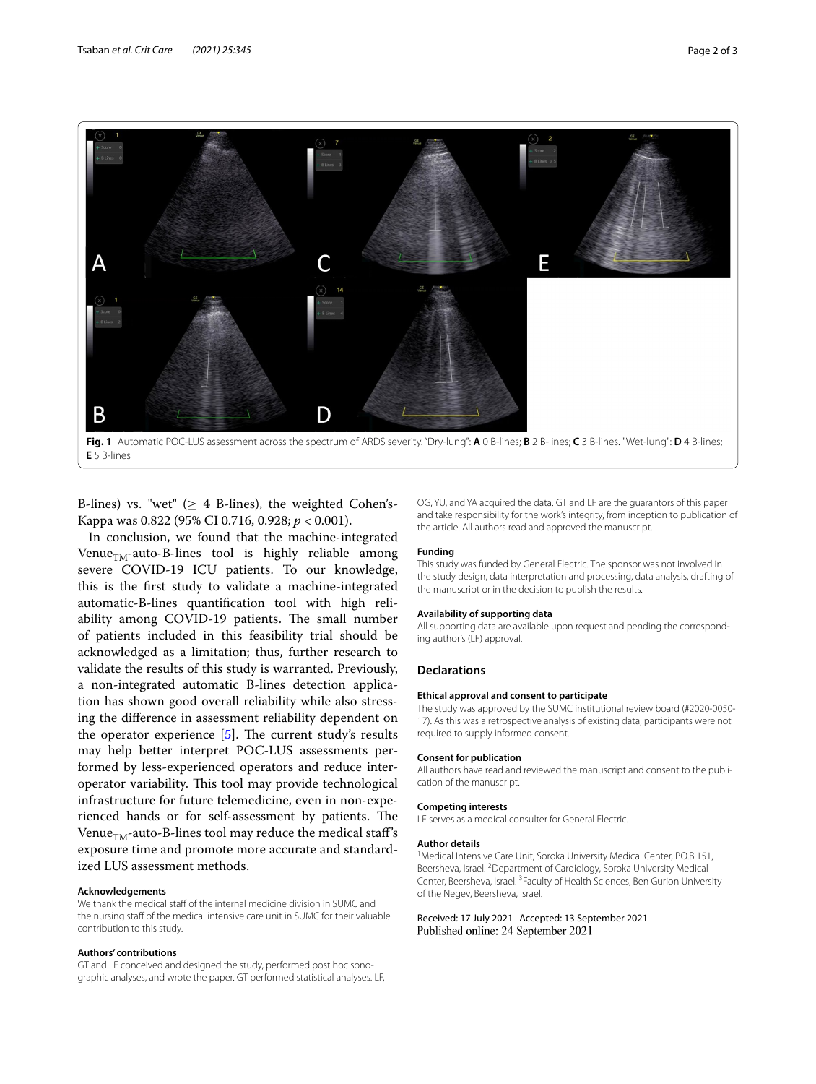

<span id="page-1-0"></span>B-lines) vs. "wet" ( $\geq$  4 B-lines), the weighted Cohen's-Kappa was 0.822 (95% CI 0.716, 0.928; *p* < 0.001).

In conclusion, we found that the machine-integrated Venue<sub>TM</sub>-auto-B-lines tool is highly reliable among severe COVID-19 ICU patients. To our knowledge, this is the frst study to validate a machine-integrated automatic-B-lines quantifcation tool with high reliability among COVID-19 patients. The small number of patients included in this feasibility trial should be acknowledged as a limitation; thus, further research to validate the results of this study is warranted. Previously, a non-integrated automatic B-lines detection application has shown good overall reliability while also stressing the diference in assessment reliability dependent on the operator experience  $[5]$ . The current study's results may help better interpret POC-LUS assessments performed by less-experienced operators and reduce interoperator variability. This tool may provide technological infrastructure for future telemedicine, even in non-experienced hands or for self-assessment by patients. The Venue<sub>TM</sub>-auto-B-lines tool may reduce the medical staff's exposure time and promote more accurate and standardized LUS assessment methods.

#### **Acknowledgements**

We thank the medical staff of the internal medicine division in SUMC and the nursing staff of the medical intensive care unit in SUMC for their valuable contribution to this study.

#### **Authors' contributions**

GT and LF conceived and designed the study, performed post hoc sonographic analyses, and wrote the paper. GT performed statistical analyses. LF, OG, YU, and YA acquired the data. GT and LF are the guarantors of this paper and take responsibility for the work's integrity, from inception to publication of the article. All authors read and approved the manuscript.

#### **Funding**

This study was funded by General Electric. The sponsor was not involved in the study design, data interpretation and processing, data analysis, drafting of the manuscript or in the decision to publish the results.

#### **Availability of supporting data**

All supporting data are available upon request and pending the corresponding author's (LF) approval.

#### **Declarations**

#### **Ethical approval and consent to participate**

The study was approved by the SUMC institutional review board (#2020-0050- 17). As this was a retrospective analysis of existing data, participants were not required to supply informed consent.

#### **Consent for publication**

All authors have read and reviewed the manuscript and consent to the publication of the manuscript.

#### **Competing interests**

LF serves as a medical consulter for General Electric.

#### **Author details**

<sup>1</sup> Medical Intensive Care Unit, Soroka University Medical Center, P.O.B 151, Beersheva, Israel. <sup>2</sup> Department of Cardiology, Soroka University Medical Center, Beersheva, Israel. <sup>3</sup> Faculty of Health Sciences, Ben Gurion University of the Negev, Beersheva, Israel.

Received: 17 July 2021 Accepted: 13 September 2021 Published online: 24 September 2021